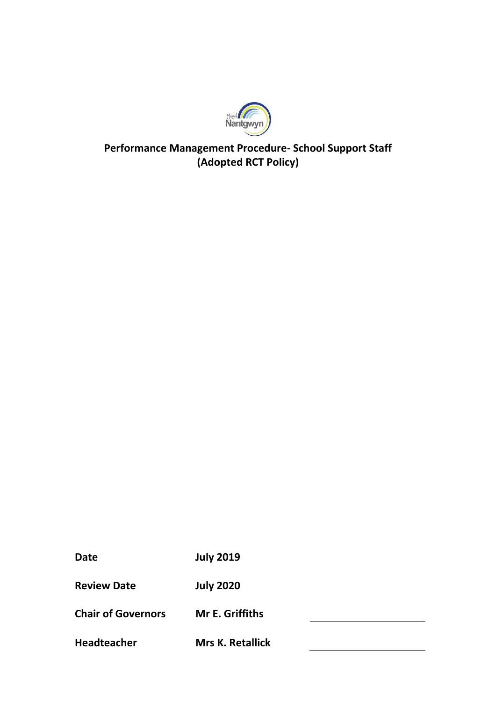

## **Performance Management Procedure- School Support Staff (Adopted RCT Policy)**

**Date July 2019**

**Review Date July 2020**

**Chair of Governors Mr E. Griffiths**

**Headteacher Mrs K. Retallick**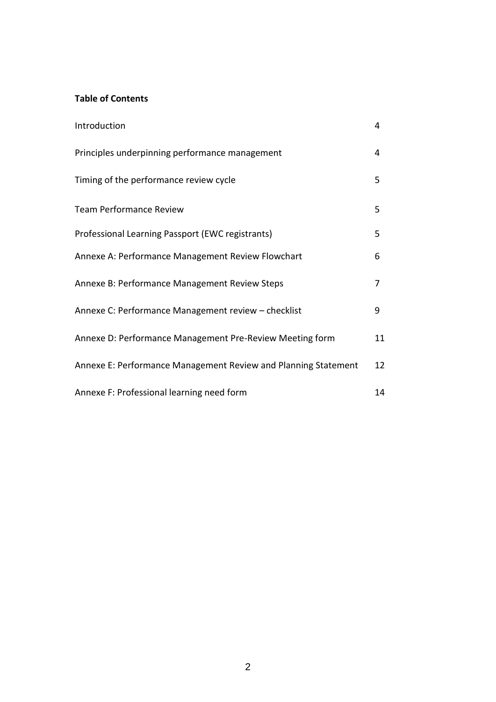## **Table of Contents**

| Introduction                                                   | 4  |
|----------------------------------------------------------------|----|
| Principles underpinning performance management                 | 4  |
| Timing of the performance review cycle                         | 5  |
| <b>Team Performance Review</b>                                 | 5  |
| Professional Learning Passport (EWC registrants)               | 5  |
| Annexe A: Performance Management Review Flowchart              | 6  |
| Annexe B: Performance Management Review Steps                  | 7  |
| Annexe C: Performance Management review - checklist            | 9  |
| Annexe D: Performance Management Pre-Review Meeting form       | 11 |
| Annexe E: Performance Management Review and Planning Statement | 12 |
| Annexe F: Professional learning need form                      | 14 |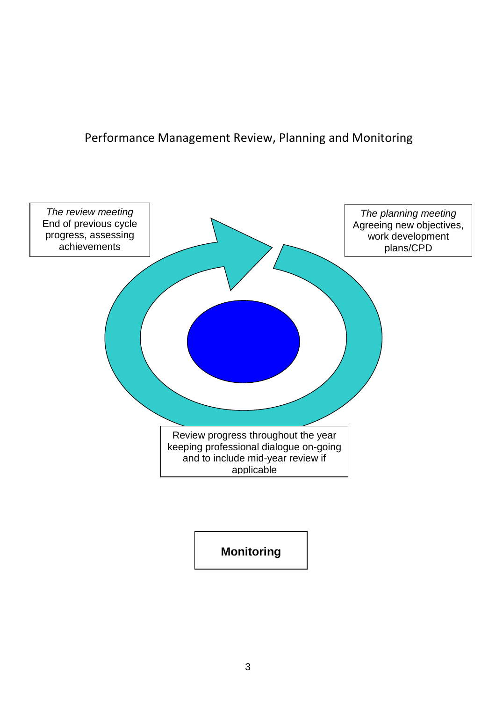Performance Management Review, Planning and Monitoring



**Monitoring**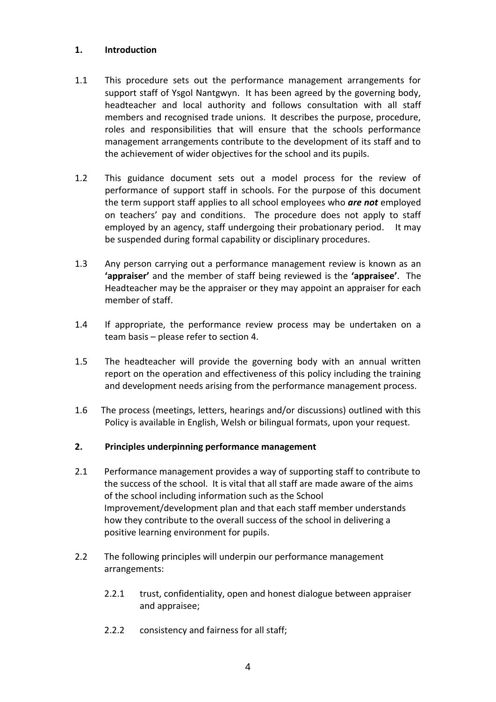### **1. Introduction**

- 1.1 This procedure sets out the performance management arrangements for support staff of Ysgol Nantgwyn. It has been agreed by the governing body, headteacher and local authority and follows consultation with all staff members and recognised trade unions. It describes the purpose, procedure, roles and responsibilities that will ensure that the schools performance management arrangements contribute to the development of its staff and to the achievement of wider objectives for the school and its pupils.
- 1.2 This guidance document sets out a model process for the review of performance of support staff in schools. For the purpose of this document the term support staff applies to all school employees who *are not* employed on teachers' pay and conditions. The procedure does not apply to staff employed by an agency, staff undergoing their probationary period. It may be suspended during formal capability or disciplinary procedures.
- 1.3 Any person carrying out a performance management review is known as an **'appraiser'** and the member of staff being reviewed is the **'appraisee'**. The Headteacher may be the appraiser or they may appoint an appraiser for each member of staff.
- 1.4 If appropriate, the performance review process may be undertaken on a team basis – please refer to section 4.
- 1.5 The headteacher will provide the governing body with an annual written report on the operation and effectiveness of this policy including the training and development needs arising from the performance management process.
- 1.6 The process (meetings, letters, hearings and/or discussions) outlined with this Policy is available in English, Welsh or bilingual formats, upon your request.

#### **2. Principles underpinning performance management**

- 2.1 Performance management provides a way of supporting staff to contribute to the success of the school. It is vital that all staff are made aware of the aims of the school including information such as the School Improvement/development plan and that each staff member understands how they contribute to the overall success of the school in delivering a positive learning environment for pupils.
- 2.2 The following principles will underpin our performance management arrangements:
	- 2.2.1 trust, confidentiality, open and honest dialogue between appraiser and appraisee;
	- 2.2.2 consistency and fairness for all staff;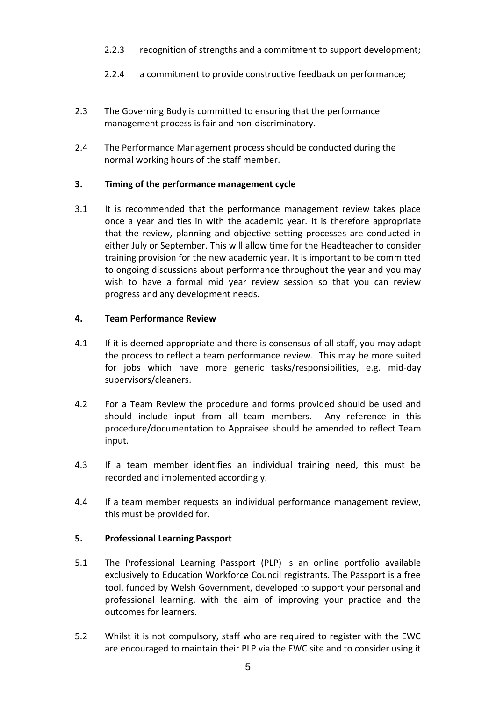- 2.2.3 recognition of strengths and a commitment to support development;
- 2.2.4 a commitment to provide constructive feedback on performance;
- 2.3 The Governing Body is committed to ensuring that the performance management process is fair and non-discriminatory.
- 2.4 The Performance Management process should be conducted during the normal working hours of the staff member.

#### **3. Timing of the performance management cycle**

3.1 It is recommended that the performance management review takes place once a year and ties in with the academic year. It is therefore appropriate that the review, planning and objective setting processes are conducted in either July or September. This will allow time for the Headteacher to consider training provision for the new academic year. It is important to be committed to ongoing discussions about performance throughout the year and you may wish to have a formal mid year review session so that you can review progress and any development needs.

### **4. Team Performance Review**

- 4.1 If it is deemed appropriate and there is consensus of all staff, you may adapt the process to reflect a team performance review. This may be more suited for jobs which have more generic tasks/responsibilities, e.g. mid-day supervisors/cleaners.
- 4.2 For a Team Review the procedure and forms provided should be used and should include input from all team members. Any reference in this procedure/documentation to Appraisee should be amended to reflect Team input.
- 4.3 If a team member identifies an individual training need, this must be recorded and implemented accordingly.
- 4.4 If a team member requests an individual performance management review, this must be provided for.

#### **5. Professional Learning Passport**

- 5.1 The Professional Learning Passport (PLP) is an online portfolio available exclusively to Education Workforce Council registrants. The Passport is a free tool, funded by Welsh Government, developed to support your personal and professional learning, with the aim of improving your practice and the outcomes for learners.
- 5.2 Whilst it is not compulsory, staff who are required to register with the EWC are encouraged to maintain their PLP via the EWC site and to consider using it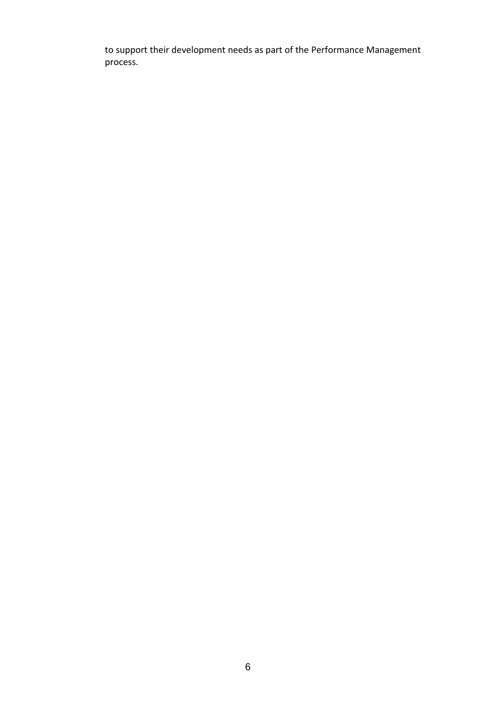to support their development needs as part of the Performance Management process.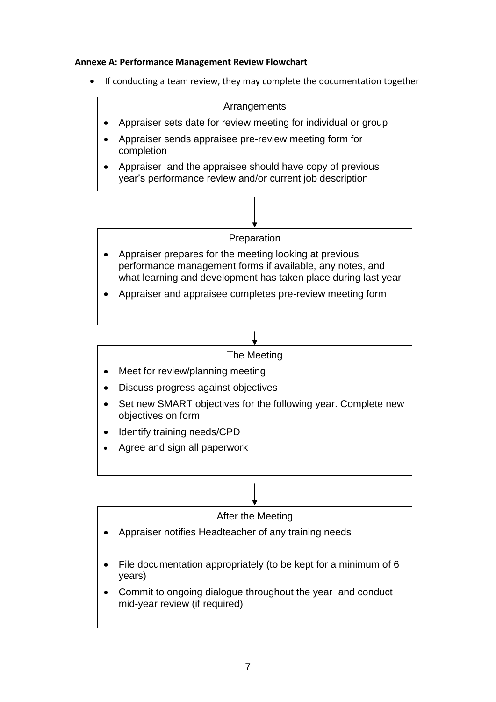## **Annexe A: Performance Management Review Flowchart**

If conducting a team review, they may complete the documentation together



## The Meeting

- Meet for review/planning meeting
- Discuss progress against objectives
- Set new SMART objectives for the following year. Complete new objectives on form
- Identify training needs/CPD
- Agree and sign all paperwork

## After the Meeting

- Appraiser notifies Headteacher of any training needs
- File documentation appropriately (to be kept for a minimum of 6 years)
- Commit to ongoing dialogue throughout the year and conduct mid-year review (if required)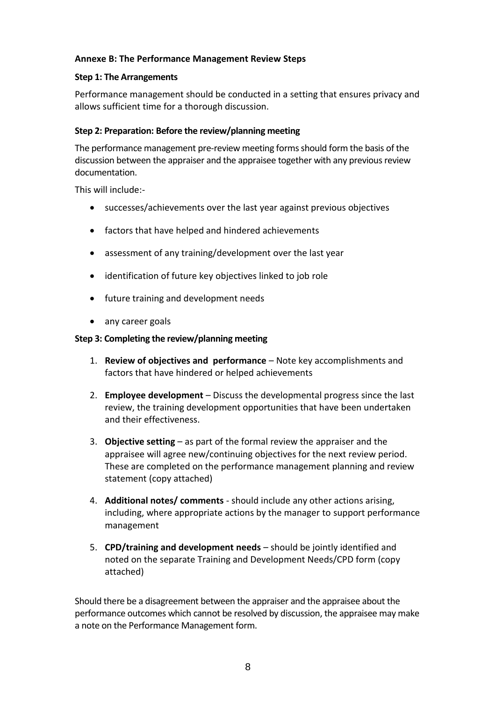## **Annexe B: The Performance Management Review Steps**

#### **Step 1: The Arrangements**

Performance management should be conducted in a setting that ensures privacy and allows sufficient time for a thorough discussion.

#### **Step 2: Preparation: Before the review/planning meeting**

The performance management pre-review meeting forms should form the basis of the discussion between the appraiser and the appraisee together with any previous review documentation.

This will include:-

- successes/achievements over the last year against previous objectives
- factors that have helped and hindered achievements
- assessment of any training/development over the last year
- identification of future key objectives linked to job role
- future training and development needs
- any career goals

#### **Step 3: Completing the review/planning meeting**

- 1. **Review of objectives and performance**  Note key accomplishments and factors that have hindered or helped achievements
- 2. **Employee development**  Discuss the developmental progress since the last review, the training development opportunities that have been undertaken and their effectiveness.
- 3. **Objective setting**  as part of the formal review the appraiser and the appraisee will agree new/continuing objectives for the next review period. These are completed on the performance management planning and review statement (copy attached)
- 4. **Additional notes/ comments** should include any other actions arising, including, where appropriate actions by the manager to support performance management
- 5. **CPD/training and development needs**  should be jointly identified and noted on the separate Training and Development Needs/CPD form (copy attached)

Should there be a disagreement between the appraiser and the appraisee about the performance outcomes which cannot be resolved by discussion, the appraisee may make a note on the Performance Management form.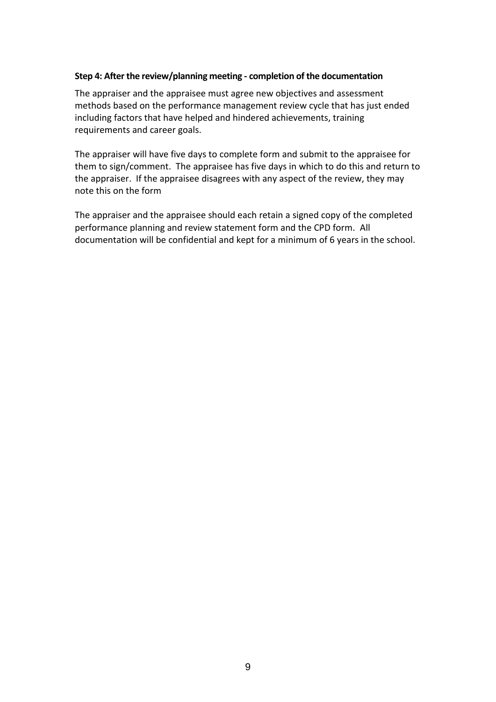#### **Step 4: After the review/planning meeting - completion of the documentation**

The appraiser and the appraisee must agree new objectives and assessment methods based on the performance management review cycle that has just ended including factors that have helped and hindered achievements, training requirements and career goals.

The appraiser will have five days to complete form and submit to the appraisee for them to sign/comment. The appraisee has five days in which to do this and return to the appraiser. If the appraisee disagrees with any aspect of the review, they may note this on the form

The appraiser and the appraisee should each retain a signed copy of the completed performance planning and review statement form and the CPD form. All documentation will be confidential and kept for a minimum of 6 years in the school.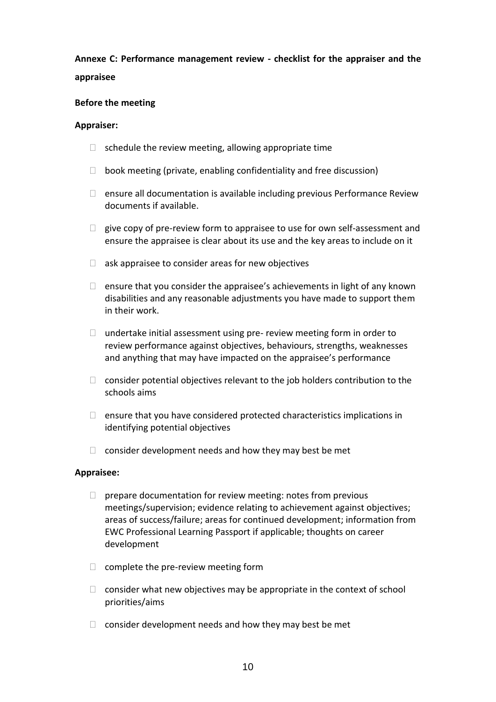# **Annexe C: Performance management review - checklist for the appraiser and the appraisee**

#### **Before the meeting**

#### **Appraiser:**

- $\Box$  schedule the review meeting, allowing appropriate time
- $\Box$  book meeting (private, enabling confidentiality and free discussion)
- $\Box$  ensure all documentation is available including previous Performance Review documents if available.
- $\Box$  give copy of pre-review form to appraisee to use for own self-assessment and ensure the appraisee is clear about its use and the key areas to include on it
- $\Box$  ask appraisee to consider areas for new objectives
- $\Box$  ensure that you consider the appraisee's achievements in light of any known disabilities and any reasonable adjustments you have made to support them in their work.
- $\Box$  undertake initial assessment using pre- review meeting form in order to review performance against objectives, behaviours, strengths, weaknesses and anything that may have impacted on the appraisee's performance
- $\Box$  consider potential objectives relevant to the job holders contribution to the schools aims
- $\Box$  ensure that you have considered protected characteristics implications in identifying potential objectives
- $\Box$  consider development needs and how they may best be met

#### **Appraisee:**

- $\Box$  prepare documentation for review meeting: notes from previous meetings/supervision; evidence relating to achievement against objectives; areas of success/failure; areas for continued development; information from EWC Professional Learning Passport if applicable; thoughts on career development
- $\Box$  complete the pre-review meeting form
- $\Box$  consider what new objectives may be appropriate in the context of school priorities/aims
- $\Box$  consider development needs and how they may best be met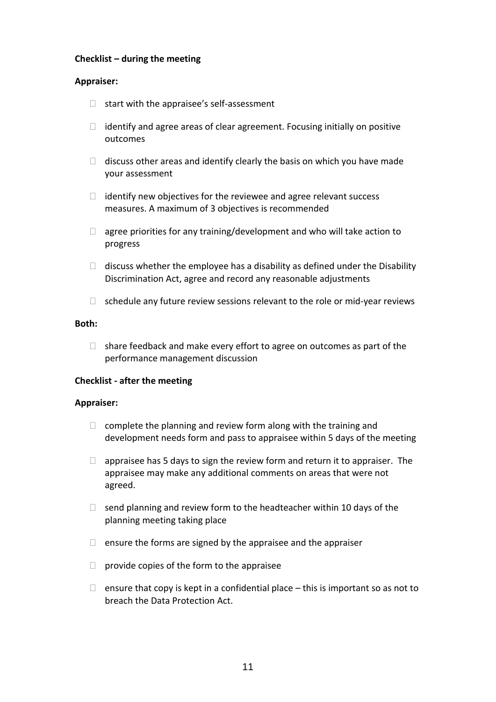#### **Checklist – during the meeting**

#### **Appraiser:**

- $\Box$  start with the appraisee's self-assessment
- $\Box$  identify and agree areas of clear agreement. Focusing initially on positive outcomes
- $\Box$  discuss other areas and identify clearly the basis on which you have made your assessment
- $\Box$  identify new objectives for the reviewee and agree relevant success measures. A maximum of 3 objectives is recommended
- $\Box$  agree priorities for any training/development and who will take action to progress
- $\Box$  discuss whether the employee has a disability as defined under the Disability Discrimination Act, agree and record any reasonable adjustments
- $\Box$  schedule any future review sessions relevant to the role or mid-year reviews

#### **Both:**

 $\Box$  share feedback and make every effort to agree on outcomes as part of the performance management discussion

#### **Checklist - after the meeting**

#### **Appraiser:**

- $\Box$  complete the planning and review form along with the training and development needs form and pass to appraisee within 5 days of the meeting
- $\Box$  appraisee has 5 days to sign the review form and return it to appraiser. The appraisee may make any additional comments on areas that were not agreed.
- $\Box$  send planning and review form to the headteacher within 10 days of the planning meeting taking place
- $\Box$  ensure the forms are signed by the appraisee and the appraiser
- $\Box$  provide copies of the form to the appraisee
- $\Box$  ensure that copy is kept in a confidential place this is important so as not to breach the Data Protection Act.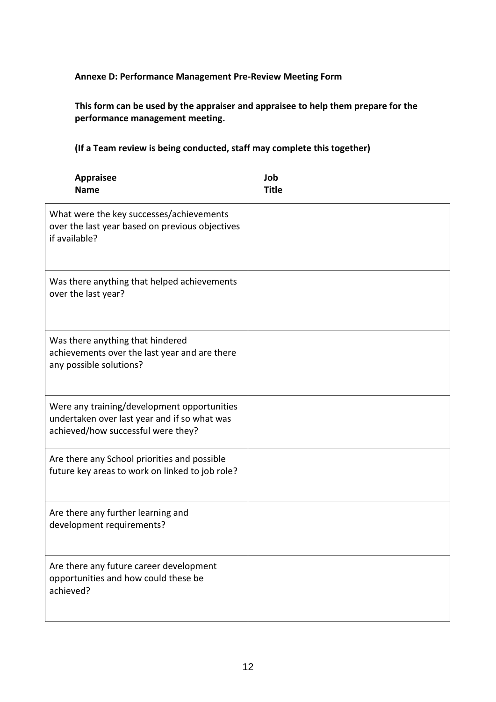## **Annexe D: Performance Management Pre-Review Meeting Form**

**This form can be used by the appraiser and appraisee to help them prepare for the performance management meeting.**

**(If a Team review is being conducted, staff may complete this together)**

| <b>Appraisee</b><br><b>Name</b>                                                                                                   | Job<br><b>Title</b> |
|-----------------------------------------------------------------------------------------------------------------------------------|---------------------|
| What were the key successes/achievements<br>over the last year based on previous objectives<br>if available?                      |                     |
| Was there anything that helped achievements<br>over the last year?                                                                |                     |
| Was there anything that hindered<br>achievements over the last year and are there<br>any possible solutions?                      |                     |
| Were any training/development opportunities<br>undertaken over last year and if so what was<br>achieved/how successful were they? |                     |
| Are there any School priorities and possible<br>future key areas to work on linked to job role?                                   |                     |
| Are there any further learning and<br>development requirements?                                                                   |                     |
| Are there any future career development<br>opportunities and how could these be<br>achieved?                                      |                     |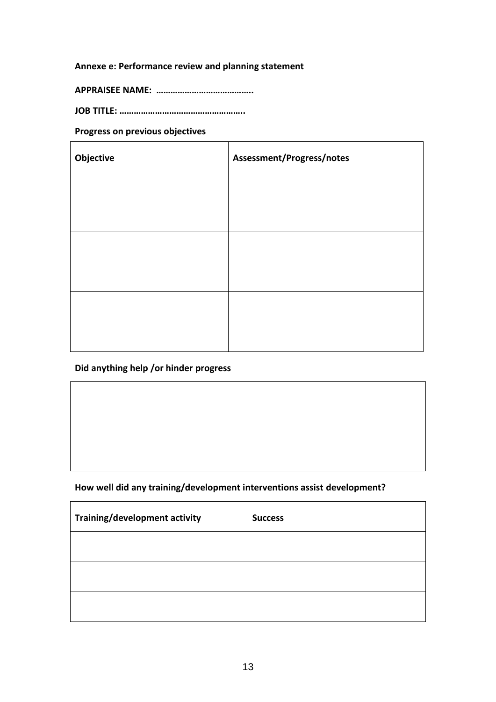## **Annexe e: Performance review and planning statement**

**APPRAISEE NAME: …………………………………..**

**JOB TITLE: ……………………………………………..**

### **Progress on previous objectives**

| Assessment/Progress/notes |
|---------------------------|
|                           |
|                           |
|                           |
|                           |
|                           |
|                           |
|                           |

### **Did anything help /or hinder progress**

### **How well did any training/development interventions assist development?**

| <b>Training/development activity</b> | <b>Success</b> |
|--------------------------------------|----------------|
|                                      |                |
|                                      |                |
|                                      |                |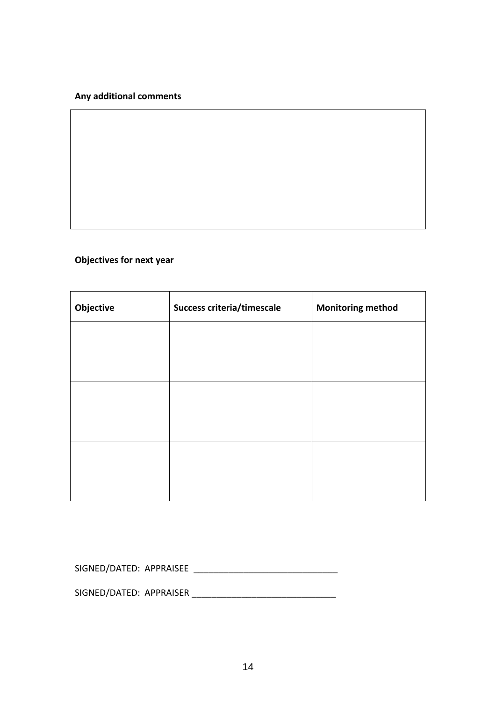### **Any additional comments**

## **Objectives for next year**

| Objective | Success criteria/timescale | <b>Monitoring method</b> |
|-----------|----------------------------|--------------------------|
|           |                            |                          |
|           |                            |                          |
|           |                            |                          |
|           |                            |                          |
|           |                            |                          |
|           |                            |                          |

SIGNED/DATED: APPRAISEE \_\_\_\_\_\_\_\_\_\_\_\_\_\_\_\_\_\_\_\_\_\_\_\_\_\_\_\_\_

SIGNED/DATED: APPRAISER \_\_\_\_\_\_\_\_\_\_\_\_\_\_\_\_\_\_\_\_\_\_\_\_\_\_\_\_\_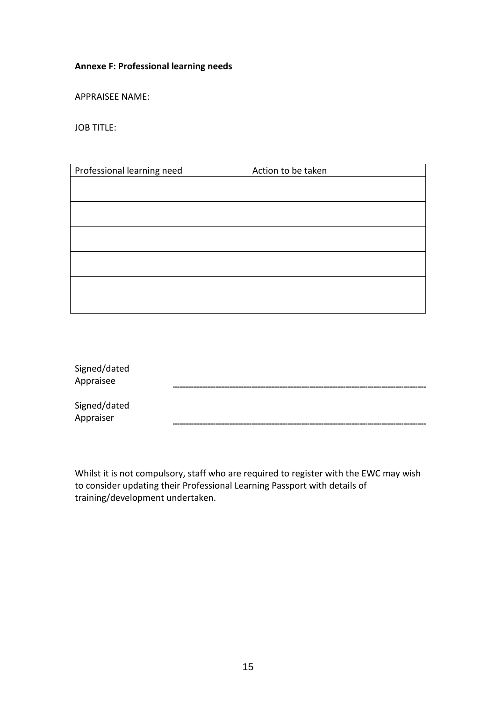## **Annexe F: Professional learning needs**

APPRAISEE NAME:

JOB TITLE:

| Professional learning need | Action to be taken |
|----------------------------|--------------------|
|                            |                    |
|                            |                    |
|                            |                    |
|                            |                    |
|                            |                    |
|                            |                    |
|                            |                    |

| Signed/dated<br>Appraisee |  |
|---------------------------|--|
| Signed/dated<br>Appraiser |  |

Whilst it is not compulsory, staff who are required to register with the EWC may wish to consider updating their Professional Learning Passport with details of training/development undertaken.